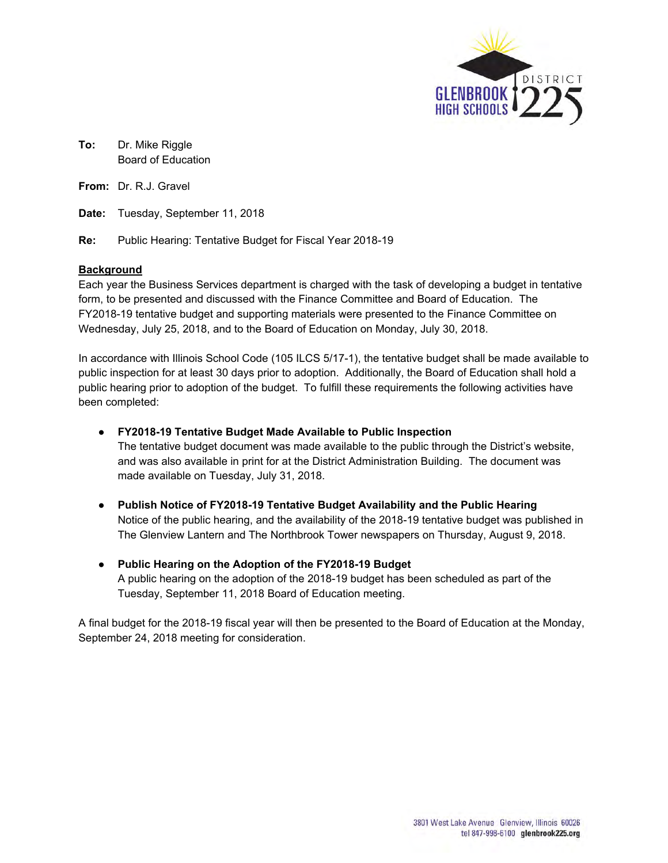

**To:** Dr. Mike Riggle Board of Education

**From:** Dr. R.J. Gravel

**Date:** Tuesday, September 11, 2018

**Re:** Public Hearing: Tentative Budget for Fiscal Year 2018-19

### **Background**

Each year the Business Services department is charged with the task of developing a budget in tentative form, to be presented and discussed with the Finance Committee and Board of Education. The FY2018-19 tentative budget and supporting materials were presented to the Finance Committee on Wednesday, July 25, 2018, and to the Board of Education on Monday, July 30, 2018.

In accordance with Illinois School Code (105 ILCS 5/17-1), the tentative budget shall be made available to public inspection for at least 30 days prior to adoption. Additionally, the Board of Education shall hold a public hearing prior to adoption of the budget. To fulfill these requirements the following activities have been completed:

#### **● FY2018-19 Tentative Budget Made Available to Public Inspection**

The tentative budget document was made available to the public through the District's website, and was also available in print for at the District Administration Building. The document was made available on Tuesday, July 31, 2018.

- **Publish Notice of FY2018-19 Tentative Budget Availability and the Public Hearing** Notice of the public hearing, and the availability of the 2018-19 tentative budget was published in The Glenview Lantern and The Northbrook Tower newspapers on Thursday, August 9, 2018.
- **Public Hearing on the Adoption of the FY2018-19 Budget**  A public hearing on the adoption of the 2018-19 budget has been scheduled as part of the Tuesday, September 11, 2018 Board of Education meeting.

A final budget for the 2018-19 fiscal year will then be presented to the Board of Education at the Monday, September 24, 2018 meeting for consideration.